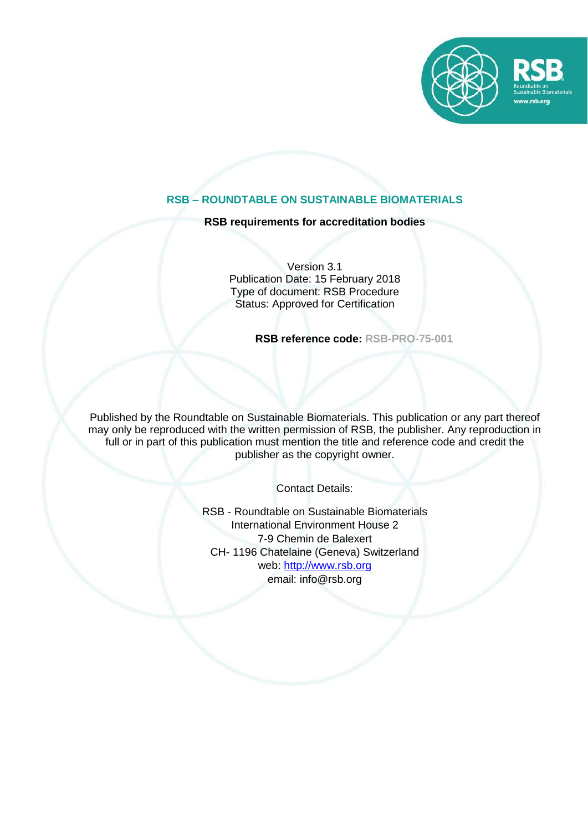

# **RSB – ROUNDTABLE ON SUSTAINABLE BIOMATERIALS**

**RSB requirements for accreditation bodies**

Version 3.1 Publication Date: 15 February 2018 Type of document: RSB Procedure Status: Approved for Certification

**RSB reference code: RSB-PRO-75-001**

Published by the Roundtable on Sustainable Biomaterials. This publication or any part thereof may only be reproduced with the written permission of RSB, the publisher. Any reproduction in full or in part of this publication must mention the title and reference code and credit the publisher as the copyright owner.

Contact Details:

RSB - Roundtable on Sustainable Biomaterials International Environment House 2 7-9 Chemin de Balexert CH- 1196 Chatelaine (Geneva) Switzerland web: [http://www.rsb.org](http://www.rsb.org/) email: info@rsb.org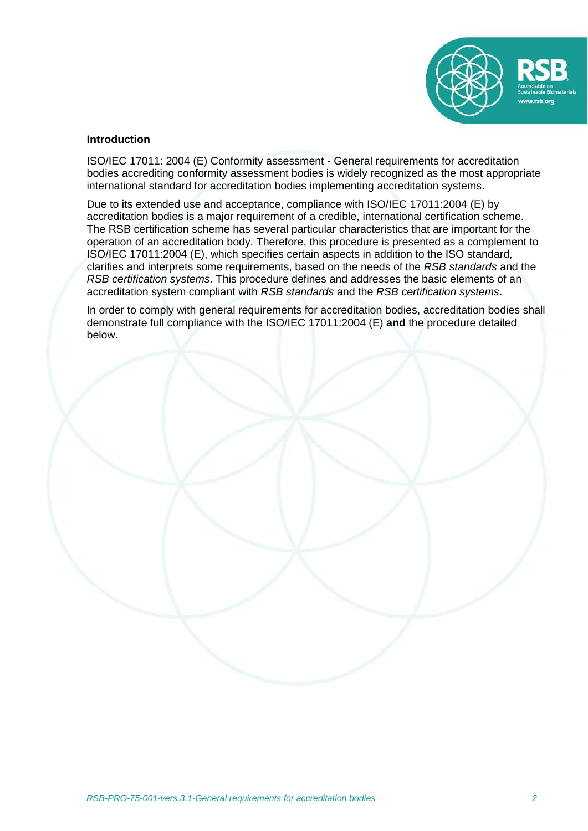

#### **Introduction**

ISO/IEC 17011: 2004 (E) Conformity assessment - General requirements for accreditation bodies accrediting conformity assessment bodies is widely recognized as the most appropriate international standard for accreditation bodies implementing accreditation systems.

Due to its extended use and acceptance, compliance with ISO/IEC 17011:2004 (E) by accreditation bodies is a major requirement of a credible, international certification scheme. The RSB certification scheme has several particular characteristics that are important for the operation of an accreditation body. Therefore, this procedure is presented as a complement to ISO/IEC 17011:2004 (E), which specifies certain aspects in addition to the ISO standard, clarifies and interprets some requirements, based on the needs of the *RSB standards* and the *RSB certification systems*. This procedure defines and addresses the basic elements of an accreditation system compliant with *RSB standards* and the *RSB certification systems*.

In order to comply with general requirements for accreditation bodies, accreditation bodies shall demonstrate full compliance with the ISO/IEC 17011:2004 (E) **and** the procedure detailed below.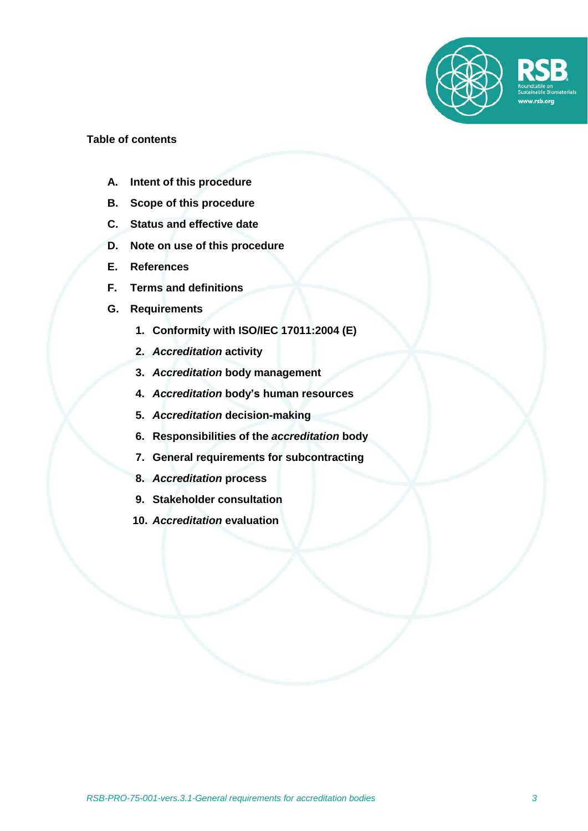

#### **Table of contents**

- **A. Intent of this procedure**
- **B. Scope of this procedure**
- **C. Status and effective date**
- **D. Note on use of this procedure**
- **E. References**
- **F. Terms and definitions**
- **G. Requirements**
	- **1. Conformity with ISO/IEC 17011:2004 (E)**
	- **2.** *Accreditation* **activity**
	- **3.** *Accreditation* **body management**
	- **4.** *Accreditation* **body's human resources**
	- **5.** *Accreditation* **decision-making**
	- **6. Responsibilities of the** *accreditation* **body**
	- **7. General requirements for subcontracting**
	- **8.** *Accreditation* **process**
	- **9. Stakeholder consultation**
	- **10.** *Accreditation* **evaluation**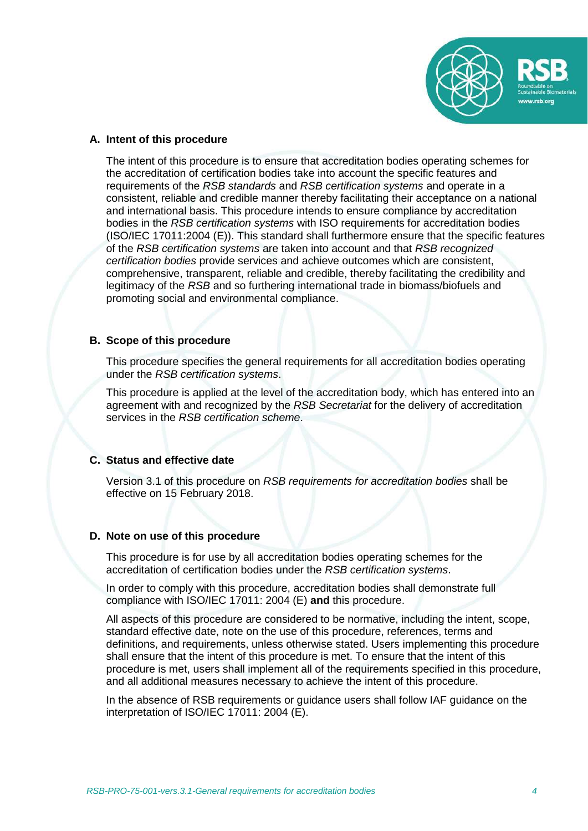

#### **A. Intent of this procedure**

The intent of this procedure is to ensure that accreditation bodies operating schemes for the accreditation of certification bodies take into account the specific features and requirements of the *RSB standards* and *RSB certification systems* and operate in a consistent, reliable and credible manner thereby facilitating their acceptance on a national and international basis. This procedure intends to ensure compliance by accreditation bodies in the *RSB certification systems* with ISO requirements for accreditation bodies (ISO/IEC 17011:2004 (E)). This standard shall furthermore ensure that the specific features of the *RSB certification systems* are taken into account and that *RSB recognized certification bodies* provide services and achieve outcomes which are consistent, comprehensive, transparent, reliable and credible, thereby facilitating the credibility and legitimacy of the *RSB* and so furthering international trade in biomass/biofuels and promoting social and environmental compliance.

### **B. Scope of this procedure**

This procedure specifies the general requirements for all accreditation bodies operating under the *RSB certification systems*.

This procedure is applied at the level of the accreditation body, which has entered into an agreement with and recognized by the *RSB Secretariat* for the delivery of accreditation services in the *RSB certification scheme*.

## **C. Status and effective date**

Version 3.1 of this procedure on *RSB requirements for accreditation bodies* shall be effective on 15 February 2018.

## **D. Note on use of this procedure**

This procedure is for use by all accreditation bodies operating schemes for the accreditation of certification bodies under the *RSB certification systems*.

In order to comply with this procedure, accreditation bodies shall demonstrate full compliance with ISO/IEC 17011: 2004 (E) **and** this procedure.

All aspects of this procedure are considered to be normative, including the intent, scope, standard effective date, note on the use of this procedure, references, terms and definitions, and requirements, unless otherwise stated. Users implementing this procedure shall ensure that the intent of this procedure is met. To ensure that the intent of this procedure is met, users shall implement all of the requirements specified in this procedure, and all additional measures necessary to achieve the intent of this procedure.

In the absence of RSB requirements or guidance users shall follow IAF guidance on the interpretation of ISO/IEC 17011: 2004 (E).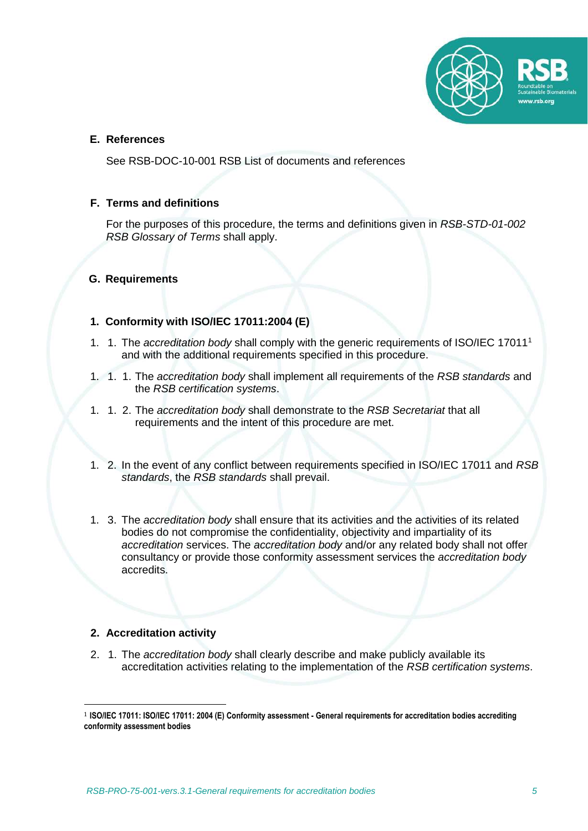

## **E. References**

See RSB-DOC-10-001 RSB List of documents and references

### **F. Terms and definitions**

For the purposes of this procedure, the terms and definitions given in *RSB-STD-01-002 RSB Glossary of Terms* shall apply.

### **G. Requirements**

# **1. Conformity with ISO/IEC 17011:2004 (E)**

- 1. 1. The *accreditation body* shall comply with the generic requirements of ISO/IEC 17011<sup>1</sup> and with the additional requirements specified in this procedure.
- 1. 1. 1. The *accreditation body* shall implement all requirements of the *RSB standards* and the *RSB certification systems*.
- 1. 1. 2. The *accreditation body* shall demonstrate to the *RSB Secretariat* that all requirements and the intent of this procedure are met.
- 1. 2. In the event of any conflict between requirements specified in ISO/IEC 17011 and *RSB standards*, the *RSB standards* shall prevail.
- 1. 3. The *accreditation body* shall ensure that its activities and the activities of its related bodies do not compromise the confidentiality, objectivity and impartiality of its *accreditation* services. The *accreditation body* and/or any related body shall not offer consultancy or provide those conformity assessment services the *accreditation body* accredits.

## **2. Accreditation activity**

1

2. 1. The *accreditation body* shall clearly describe and make publicly available its accreditation activities relating to the implementation of the *RSB certification systems*.

<sup>1</sup> **ISO/IEC 17011: ISO/IEC 17011: 2004 (E) Conformity assessment - General requirements for accreditation bodies accrediting conformity assessment bodies**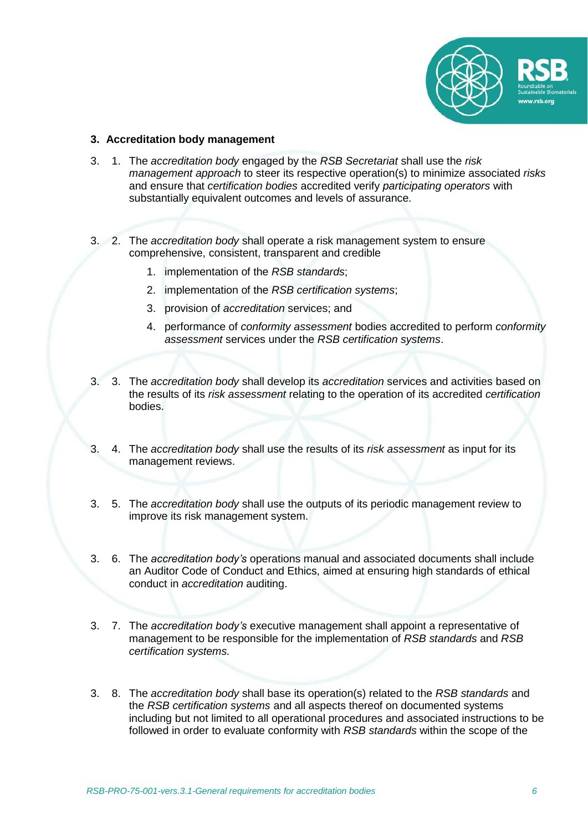

### **3. Accreditation body management**

- 3. 1. The *accreditation body* engaged by the *RSB Secretariat* shall use the *risk management approach* to steer its respective operation(s) to minimize associated *risks* and ensure that *certification bodies* accredited verify *participating operators* with substantially equivalent outcomes and levels of assurance.
- 3. 2. The *accreditation body* shall operate a risk management system to ensure comprehensive, consistent, transparent and credible
	- 1. implementation of the *RSB standards*;
	- 2. implementation of the *RSB certification systems*;
	- 3. provision of *accreditation* services; and
	- 4. performance of *conformity assessment* bodies accredited to perform *conformity assessment* services under the *RSB certification systems*.
- 3. 3. The *accreditation body* shall develop its *accreditation* services and activities based on the results of its *risk assessment* relating to the operation of its accredited *certification* bodies.
- 3. 4. The *accreditation body* shall use the results of its *risk assessment* as input for its management reviews.
- 3. 5. The *accreditation body* shall use the outputs of its periodic management review to improve its risk management system.
- 3. 6. The *accreditation body's* operations manual and associated documents shall include an Auditor Code of Conduct and Ethics, aimed at ensuring high standards of ethical conduct in *accreditation* auditing.
- 3. 7. The *accreditation body's* executive management shall appoint a representative of management to be responsible for the implementation of *RSB standards* and *RSB certification systems.*
- 3. 8. The *accreditation body* shall base its operation(s) related to the *RSB standards* and the *RSB certification systems* and all aspects thereof on documented systems including but not limited to all operational procedures and associated instructions to be followed in order to evaluate conformity with *RSB standards* within the scope of the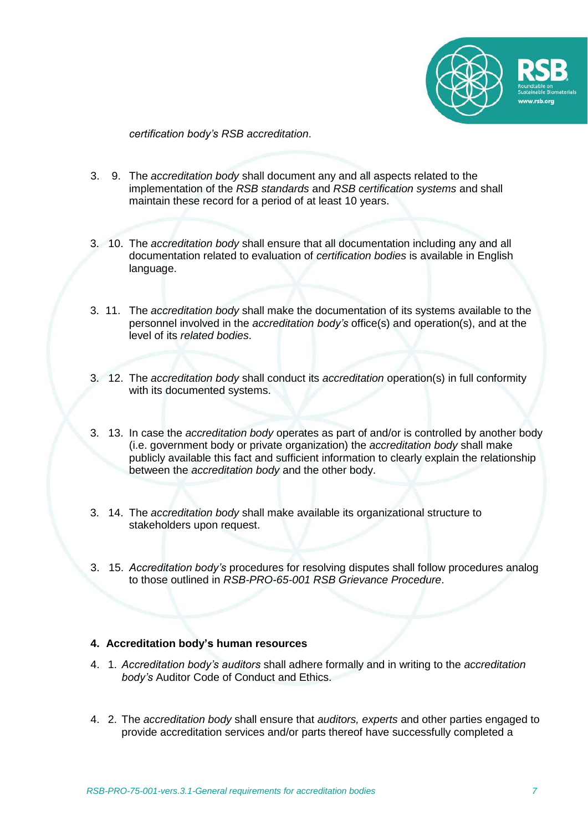

*certification body's RSB accreditation*.

- 3. 9. The *accreditation body* shall document any and all aspects related to the implementation of the *RSB standards* and *RSB certification systems* and shall maintain these record for a period of at least 10 years.
- 3. 10. The *accreditation body* shall ensure that all documentation including any and all documentation related to evaluation of *certification bodies* is available in English language.
- 3. 11. The *accreditation body* shall make the documentation of its systems available to the personnel involved in the *accreditation body's* office(s) and operation(s), and at the level of its *related bodies*.
- 3. 12. The *accreditation body* shall conduct its *accreditation* operation(s) in full conformity with its documented systems.
- 3. 13. In case the *accreditation body* operates as part of and/or is controlled by another body (i.e. government body or private organization) the *accreditation body* shall make publicly available this fact and sufficient information to clearly explain the relationship between the *accreditation body* and the other body.
- 3. 14. The *accreditation body* shall make available its organizational structure to stakeholders upon request.
- 3. 15. *Accreditation body's* procedures for resolving disputes shall follow procedures analog to those outlined in *RSB-PRO-65-001 RSB Grievance Procedure*.

## **4. Accreditation body's human resources**

- 4. 1. *Accreditation body's auditors* shall adhere formally and in writing to the *accreditation body's* Auditor Code of Conduct and Ethics.
- 4. 2. The *accreditation body* shall ensure that *auditors, experts* and other parties engaged to provide accreditation services and/or parts thereof have successfully completed a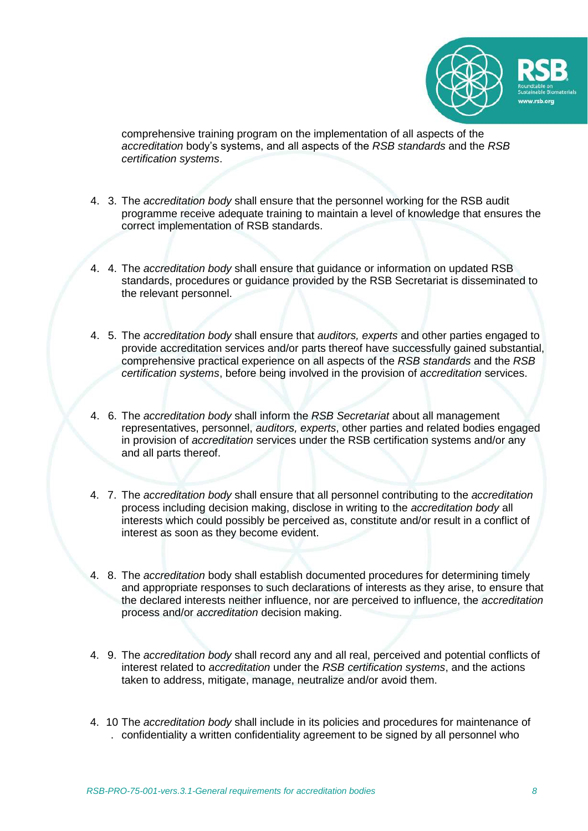

comprehensive training program on the implementation of all aspects of the *accreditation* body's systems, and all aspects of the *RSB standards* and the *RSB certification systems*.

- 4. 3. The *accreditation body* shall ensure that the personnel working for the RSB audit programme receive adequate training to maintain a level of knowledge that ensures the correct implementation of RSB standards.
- 4. 4. The *accreditation body* shall ensure that guidance or information on updated RSB standards, procedures or guidance provided by the RSB Secretariat is disseminated to the relevant personnel.
- 4. 5. The *accreditation body* shall ensure that *auditors, experts* and other parties engaged to provide accreditation services and/or parts thereof have successfully gained substantial, comprehensive practical experience on all aspects of the *RSB standards* and the *RSB certification systems*, before being involved in the provision of *accreditation* services.
- 4. 6. The *accreditation body* shall inform the *RSB Secretariat* about all management representatives, personnel, *auditors, experts*, other parties and related bodies engaged in provision of *accreditation* services under the RSB certification systems and/or any and all parts thereof.
- 4. 7. The *accreditation body* shall ensure that all personnel contributing to the *accreditation*  process including decision making, disclose in writing to the *accreditation body* all interests which could possibly be perceived as, constitute and/or result in a conflict of interest as soon as they become evident.
- 4. 8. The *accreditation* body shall establish documented procedures for determining timely and appropriate responses to such declarations of interests as they arise, to ensure that the declared interests neither influence, nor are perceived to influence, the *accreditation*  process and/or *accreditation* decision making.
- 4. 9. The *accreditation body* shall record any and all real, perceived and potential conflicts of interest related to *accreditation* under the *RSB certification systems*, and the actions taken to address, mitigate, manage, neutralize and/or avoid them.
- 4. 10 The *accreditation body* shall include in its policies and procedures for maintenance of . confidentiality a written confidentiality agreement to be signed by all personnel who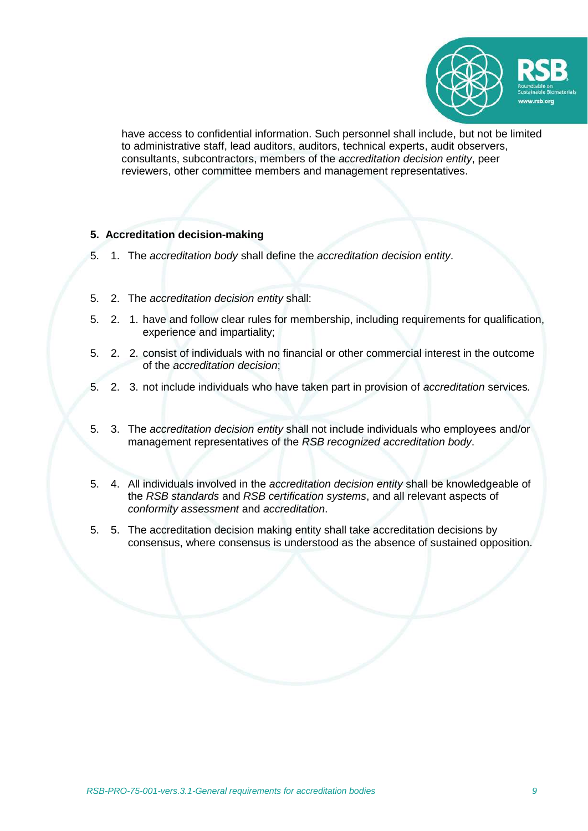

have access to confidential information. Such personnel shall include, but not be limited to administrative staff, lead auditors, auditors, technical experts, audit observers, consultants, subcontractors, members of the *accreditation decision entity*, peer reviewers, other committee members and management representatives.

### **5. Accreditation decision-making**

- 5. 1. The *accreditation body* shall define the *accreditation decision entity*.
- 5. 2. The *accreditation decision entity* shall:
- 5. 2. 1. have and follow clear rules for membership, including requirements for qualification, experience and impartiality;
- 5. 2. 2. consist of individuals with no financial or other commercial interest in the outcome of the *accreditation decision*;
- 5. 2. 3. not include individuals who have taken part in provision of *accreditation* services*.*
- 5. 3. The *accreditation decision entity* shall not include individuals who employees and/or management representatives of the *RSB recognized accreditation body*.
- 5. 4. All individuals involved in the *accreditation decision entity* shall be knowledgeable of the *RSB standards* and *RSB certification systems*, and all relevant aspects of *conformity assessment* and *accreditation*.
- 5. 5. The accreditation decision making entity shall take accreditation decisions by consensus, where consensus is understood as the absence of sustained opposition.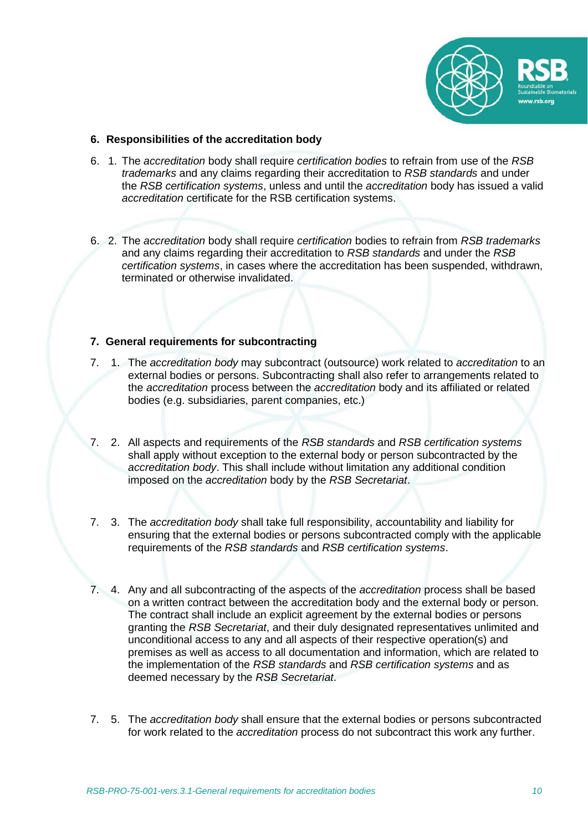

### **6. Responsibilities of the accreditation body**

- 6. 1. The *accreditation* body shall require *certification bodies* to refrain from use of the *RSB trademarks* and any claims regarding their accreditation to *RSB standards* and under the *RSB certification systems*, unless and until the *accreditation* body has issued a valid *accreditation* certificate for the RSB certification systems.
- 6. 2. The *accreditation* body shall require *certification* bodies to refrain from *RSB trademarks* and any claims regarding their accreditation to *RSB standards* and under the *RSB certification systems*, in cases where the accreditation has been suspended, withdrawn, terminated or otherwise invalidated.

# **7. General requirements for subcontracting**

- 7. 1. The *accreditation body* may subcontract (outsource) work related to *accreditation* to an external bodies or persons. Subcontracting shall also refer to arrangements related to the *accreditation* process between the *accreditation* body and its affiliated or related bodies (e.g. subsidiaries, parent companies, etc.)
- 7. 2. All aspects and requirements of the *RSB standards* and *RSB certification systems* shall apply without exception to the external body or person subcontracted by the *accreditation body*. This shall include without limitation any additional condition imposed on the *accreditation* body by the *RSB Secretariat*.
- 7. 3. The *accreditation body* shall take full responsibility, accountability and liability for ensuring that the external bodies or persons subcontracted comply with the applicable requirements of the *RSB standards* and *RSB certification systems*.
- 7. 4. Any and all subcontracting of the aspects of the *accreditation* process shall be based on a written contract between the accreditation body and the external body or person. The contract shall include an explicit agreement by the external bodies or persons granting the *RSB Secretariat*, and their duly designated representatives unlimited and unconditional access to any and all aspects of their respective operation(s) and premises as well as access to all documentation and information, which are related to the implementation of the *RSB standards* and *RSB certification systems* and as deemed necessary by the *RSB Secretariat*.
- 7. 5. The *accreditation body* shall ensure that the external bodies or persons subcontracted for work related to the *accreditation* process do not subcontract this work any further.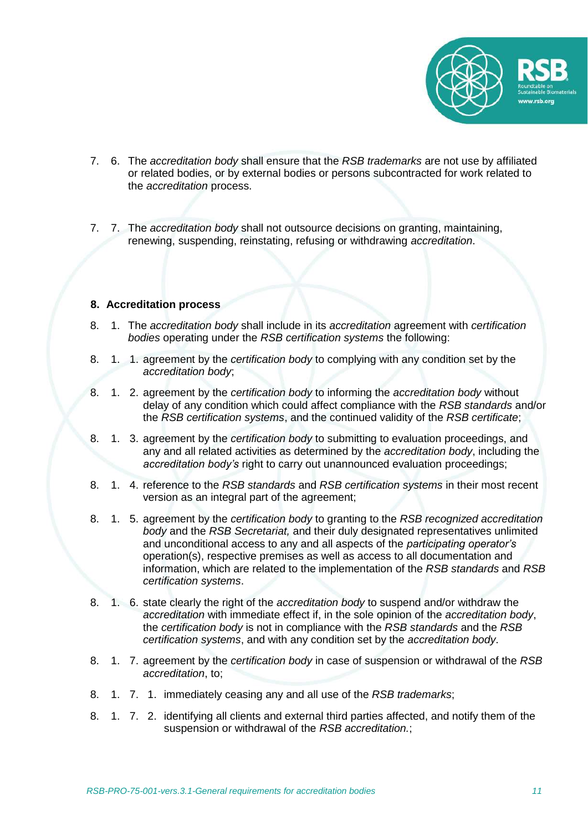

- 7. 6. The *accreditation body* shall ensure that the *RSB trademarks* are not use by affiliated or related bodies, or by external bodies or persons subcontracted for work related to the *accreditation* process.
- 7. 7. The *accreditation body* shall not outsource decisions on granting, maintaining, renewing, suspending, reinstating, refusing or withdrawing *accreditation*.

#### **8. Accreditation process**

- 8. 1. The *accreditation body* shall include in its *accreditation* agreement with *certification bodies* operating under the *RSB certification systems* the following:
- 8. 1. 1. agreement by the *certification body* to complying with any condition set by the *accreditation body*;
- 8. 1. 2. agreement by the *certification body* to informing the *accreditation body* without delay of any condition which could affect compliance with the *RSB standards* and/or the *RSB certification systems*, and the continued validity of the *RSB certificate*;
- 8. 1. 3. agreement by the *certification body* to submitting to evaluation proceedings, and any and all related activities as determined by the *accreditation body*, including the *accreditation body's* right to carry out unannounced evaluation proceedings;
- 8. 1. 4. reference to the *RSB standards* and *RSB certification systems* in their most recent version as an integral part of the agreement;
- 8. 1. 5. agreement by the *certification body* to granting to the *RSB recognized accreditation body* and the *RSB Secretariat,* and their duly designated representatives unlimited and unconditional access to any and all aspects of the *participating operator's* operation(s), respective premises as well as access to all documentation and information, which are related to the implementation of the *RSB standards* and *RSB certification systems*.
- 8. 1. 6. state clearly the right of the *accreditation body* to suspend and/or withdraw the *accreditation* with immediate effect if, in the sole opinion of the *accreditation body*, the *certification body* is not in compliance with the *RSB standards* and the *RSB certification systems*, and with any condition set by the *accreditation body*.
- 8. 1. 7. agreement by the *certification body* in case of suspension or withdrawal of the *RSB accreditation*, to;
- 8. 1. 7. 1. immediately ceasing any and all use of the *RSB trademarks*;
- 8. 1. 7. 2. identifying all clients and external third parties affected, and notify them of the suspension or withdrawal of the *RSB accreditation.*;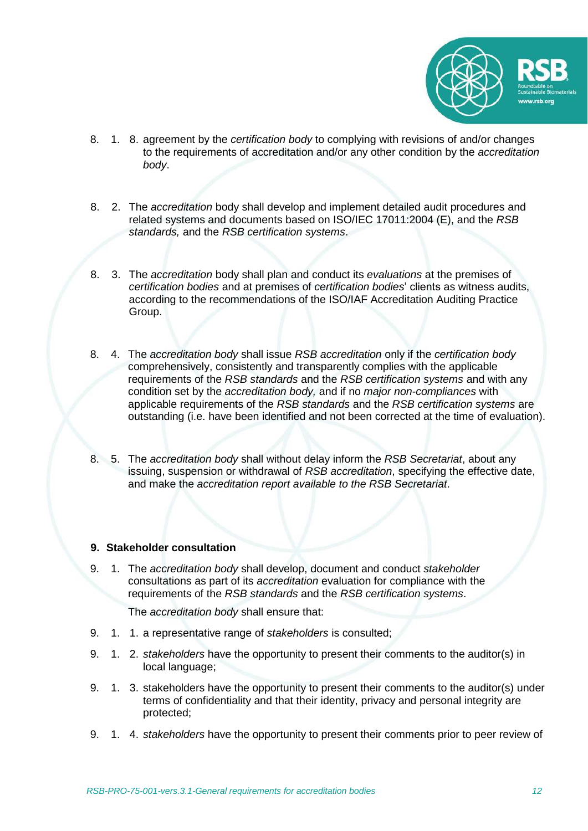

- 8. 1. 8. agreement by the *certification body* to complying with revisions of and/or changes to the requirements of accreditation and/or any other condition by the *accreditation body*.
- 8. 2. The *accreditation* body shall develop and implement detailed audit procedures and related systems and documents based on ISO/IEC 17011:2004 (E), and the *RSB standards,* and the *RSB certification systems*.
- 8. 3. The *accreditation* body shall plan and conduct its *evaluations* at the premises of *certification bodies* and at premises of *certification bodies*' clients as witness audits, according to the recommendations of the ISO/IAF Accreditation Auditing Practice Group.
- 8. 4. The *accreditation body* shall issue *RSB accreditation* only if the *certification body* comprehensively, consistently and transparently complies with the applicable requirements of the *RSB standards* and the *RSB certification systems* and with any condition set by the *accreditation body,* and if no *major non-compliances* with applicable requirements of the *RSB standards* and the *RSB certification systems* are outstanding (i.e. have been identified and not been corrected at the time of evaluation).
- 8. 5. The *accreditation body* shall without delay inform the *RSB Secretariat*, about any issuing, suspension or withdrawal of *RSB accreditation*, specifying the effective date, and make the *accreditation report available to the RSB Secretariat*.

#### **9. Stakeholder consultation**

9. 1. The *accreditation body* shall develop, document and conduct *stakeholder* consultations as part of its *accreditation* evaluation for compliance with the requirements of the *RSB standards* and the *RSB certification systems*.

The *accreditation body* shall ensure that:

- 9. 1. 1. a representative range of *stakeholders* is consulted;
- 9. 1. 2. *stakeholders* have the opportunity to present their comments to the auditor(s) in local language;
- 9. 1. 3. stakeholders have the opportunity to present their comments to the auditor(s) under terms of confidentiality and that their identity, privacy and personal integrity are protected;
- 9. 1. 4. *stakeholders* have the opportunity to present their comments prior to peer review of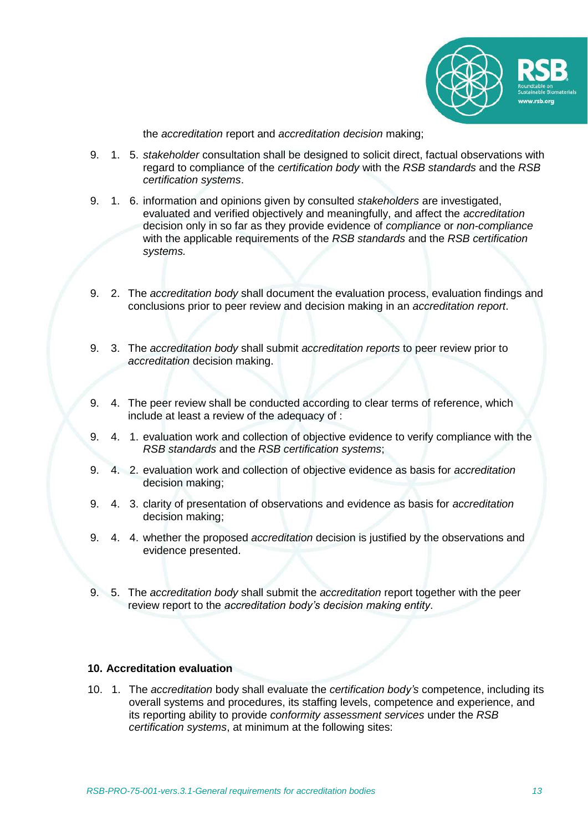

the *accreditation* report and *accreditation decision* making;

- 9. 1. 5. *stakeholder* consultation shall be designed to solicit direct, factual observations with regard to compliance of the *certification body* with the *RSB standards* and the *RSB certification systems*.
- 9. 1. 6. information and opinions given by consulted *stakeholders* are investigated, evaluated and verified objectively and meaningfully, and affect the *accreditation* decision only in so far as they provide evidence of *compliance* or *non-compliance* with the applicable requirements of the *RSB standards* and the *RSB certification systems.*
- 9. 2. The *accreditation body* shall document the evaluation process, evaluation findings and conclusions prior to peer review and decision making in an *accreditation report*.
- 9. 3. The *accreditation body* shall submit *accreditation reports* to peer review prior to *accreditation* decision making.
- 9. 4. The peer review shall be conducted according to clear terms of reference, which include at least a review of the adequacy of :
- 9. 4. 1. evaluation work and collection of objective evidence to verify compliance with the *RSB standards* and the *RSB certification systems*;
- 9. 4. 2. evaluation work and collection of objective evidence as basis for *accreditation* decision making;
- 9. 4. 3. clarity of presentation of observations and evidence as basis for *accreditation* decision making;
- 9. 4. 4. whether the proposed *accreditation* decision is justified by the observations and evidence presented.
- 9. 5. The *accreditation body* shall submit the *accreditation* report together with the peer review report to the *accreditation body's decision making entity*.

# **10. Accreditation evaluation**

10. 1. The *accreditation* body shall evaluate the *certification body's* competence, including its overall systems and procedures, its staffing levels, competence and experience, and its reporting ability to provide *conformity assessment services* under the *RSB certification systems*, at minimum at the following sites: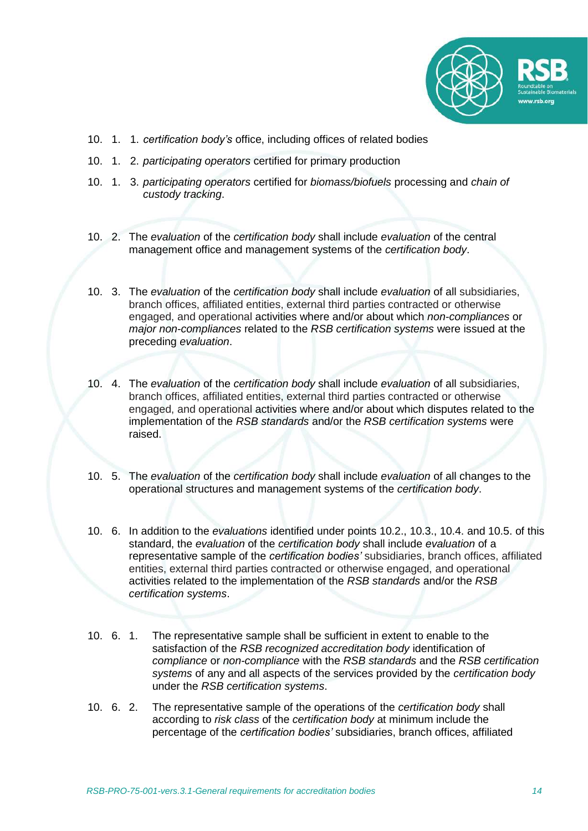

- 10. 1. 1. *certification body's* office, including offices of related bodies
- 10. 1. 2. *participating operators* certified for primary production
- 10. 1. 3. *participating operators* certified for *biomass/biofuels* processing and *chain of custody tracking*.
- 10. 2. The *evaluation* of the *certification body* shall include *evaluation* of the central management office and management systems of the *certification body*.
- 10. 3. The *evaluation* of the *certification body* shall include *evaluation* of all subsidiaries, branch offices, affiliated entities, external third parties contracted or otherwise engaged, and operational activities where and/or about which *non-compliances* or *major non-compliances* related to the *RSB certification systems* were issued at the preceding *evaluation*.
- 10. 4. The *evaluation* of the *certification body* shall include *evaluation* of all subsidiaries, branch offices, affiliated entities, external third parties contracted or otherwise engaged, and operational activities where and/or about which disputes related to the implementation of the *RSB standards* and/or the *RSB certification systems* were raised.
- 10. 5. The *evaluation* of the *certification body* shall include *evaluation* of all changes to the operational structures and management systems of the *certification body*.
- 10. 6. In addition to the *evaluations* identified under points 10.2., 10.3., 10.4. and 10.5. of this standard, the *evaluation* of the *certification body* shall include *evaluation* of a representative sample of the *certification bodies'* subsidiaries, branch offices, affiliated entities, external third parties contracted or otherwise engaged, and operational activities related to the implementation of the *RSB standards* and/or the *RSB certification systems*.
- 10. 6. 1. The representative sample shall be sufficient in extent to enable to the satisfaction of the *RSB recognized accreditation body* identification of *compliance* or *non-compliance* with the *RSB standards* and the *RSB certification systems* of any and all aspects of the services provided by the *certification body* under the *RSB certification systems*.
- 10. 6. 2. The representative sample of the operations of the *certification body* shall according to *risk class* of the *certification body* at minimum include the percentage of the *certification bodies'* subsidiaries, branch offices, affiliated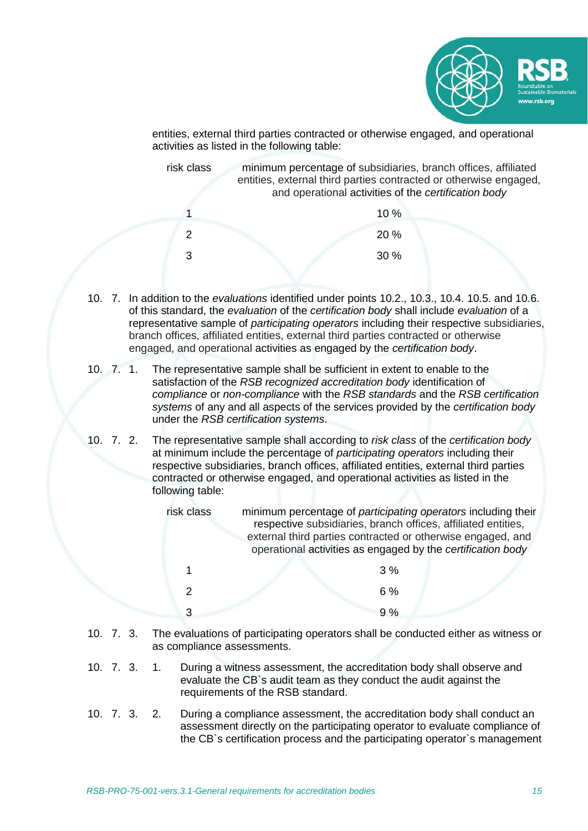

entities, external third parties contracted or otherwise engaged, and operational activities as listed in the following table:

risk class minimum percentage of subsidiaries, branch offices, affiliated entities, external third parties contracted or otherwise engaged, and operational activities of the *certification body* 1  $10\%$ 

- $20\%$  $30\%$
- 10. 7. In addition to the *evaluations* identified under points 10.2., 10.3., 10.4. 10.5. and 10.6. of this standard, the *evaluation* of the *certification body* shall include *evaluation* of a representative sample of *participating operators* including their respective subsidiaries, branch offices, affiliated entities, external third parties contracted or otherwise engaged, and operational activities as engaged by the *certification body*.
- 10. 7. 1. The representative sample shall be sufficient in extent to enable to the satisfaction of the *RSB recognized accreditation body* identification of *compliance* or *non-compliance* with the *RSB standards* and the *RSB certification systems* of any and all aspects of the services provided by the *certification body* under the *RSB certification systems*.
- 10. 7. 2. The representative sample shall according to *risk class* of the *certification body* at minimum include the percentage of *participating operators* including their respective subsidiaries, branch offices, affiliated entities, external third parties contracted or otherwise engaged, and operational activities as listed in the following table:

| risk class | minimum percentage of participating operators including their<br>respective subsidiaries, branch offices, affiliated entities,<br>external third parties contracted or otherwise engaged, and<br>operational activities as engaged by the certification body |       |  |
|------------|--------------------------------------------------------------------------------------------------------------------------------------------------------------------------------------------------------------------------------------------------------------|-------|--|
|            |                                                                                                                                                                                                                                                              | $3\%$ |  |
| 2          |                                                                                                                                                                                                                                                              | $6\%$ |  |
| વ          |                                                                                                                                                                                                                                                              | $Q_0$ |  |

- 10. 7. 3. The evaluations of participating operators shall be conducted either as witness or as compliance assessments.
- 10. 7. 3. 1. During a witness assessment, the accreditation body shall observe and evaluate the CB`s audit team as they conduct the audit against the requirements of the RSB standard.
- 10. 7. 3. 2. During a compliance assessment, the accreditation body shall conduct an assessment directly on the participating operator to evaluate compliance of the CB`s certification process and the participating operator`s management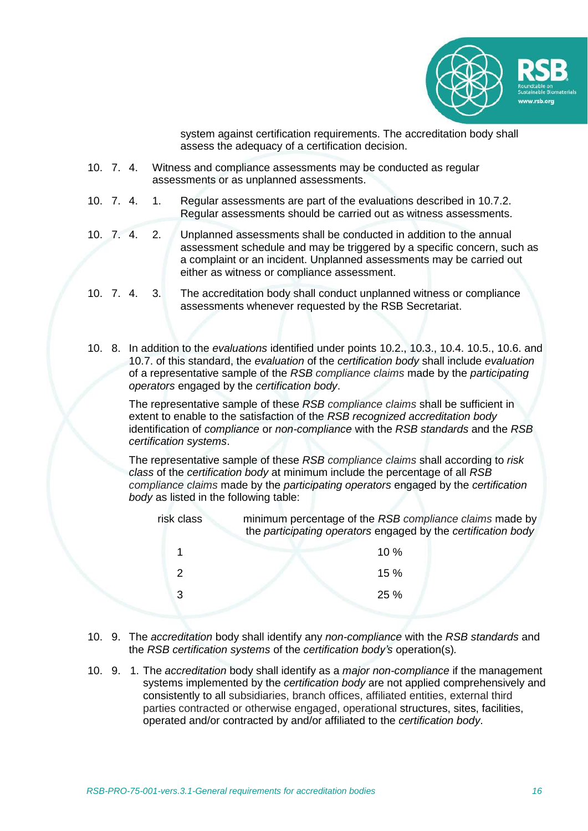

system against certification requirements. The accreditation body shall assess the adequacy of a certification decision.

- 10. 7. 4. Witness and compliance assessments may be conducted as regular assessments or as unplanned assessments.
- 10. 7. 4. 1. Regular assessments are part of the evaluations described in 10.7.2. Regular assessments should be carried out as witness assessments.
- 10. 7. 4. 2. Unplanned assessments shall be conducted in addition to the annual assessment schedule and may be triggered by a specific concern, such as a complaint or an incident. Unplanned assessments may be carried out either as witness or compliance assessment.
- 10. 7. 4. 3. The accreditation body shall conduct unplanned witness or compliance assessments whenever requested by the RSB Secretariat.
- 10. 8. In addition to the *evaluations* identified under points 10.2., 10.3., 10.4. 10.5., 10.6. and 10.7. of this standard, the *evaluation* of the *certification body* shall include *evaluation* of a representative sample of the *RSB compliance claims* made by the *participating operators* engaged by the *certification body*.

The representative sample of these *RSB compliance claims* shall be sufficient in extent to enable to the satisfaction of the *RSB recognized accreditation body* identification of *compliance* or *non-compliance* with the *RSB standards* and the *RSB certification systems*.

The representative sample of these *RSB compliance claims* shall according to *risk class* of the *certification body* at minimum include the percentage of all *RSB compliance claims* made by the *participating operators* engaged by the *certification body* as listed in the following table:

| risk class | minimum percentage of the RSB compliance claims made by<br>the participating operators engaged by the certification body |
|------------|--------------------------------------------------------------------------------------------------------------------------|
|            | 10%                                                                                                                      |
| 2          | 15%                                                                                                                      |
| 3          | 25%                                                                                                                      |
|            |                                                                                                                          |

- 10. 9. The *accreditation* body shall identify any *non-compliance* with the *RSB standards* and the *RSB certification systems* of the *certification body's* operation(s)*.*
- 10. 9. 1. The *accreditation* body shall identify as a *major non-compliance* if the management systems implemented by the *certification body* are not applied comprehensively and consistently to all subsidiaries, branch offices, affiliated entities, external third parties contracted or otherwise engaged, operational structures, sites, facilities, operated and/or contracted by and/or affiliated to the *certification body*.